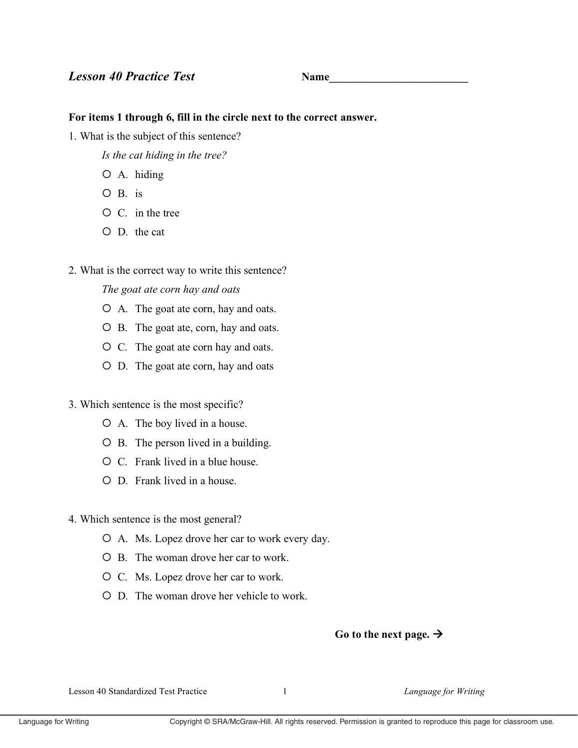# **Lesson 40 Practice Test**

**Name** 

## For items 1 through 6, fill in the circle next to the correct answer.

1. What is the subject of this sentence?

Is the cat hiding in the tree?

- $O$  A. hiding
- $O$  B. is
- $O$  C. in the tree
- $O$  D. the cat
- 2. What is the correct way to write this sentence?

# The goat ate corn hay and oats

- O A. The goat ate corn, hay and oats.
- O B. The goat ate, corn, hay and oats.
- O C. The goat ate corn hay and oats.
- O D. The goat ate corn, hay and oats
- 3. Which sentence is the most specific?
	- O A. The boy lived in a house.
	- $\circ$  B. The person lived in a building.
	- $\overline{O}$  C Frank lived in a blue house
	- O D. Frank lived in a house.
- 4. Which sentence is the most general?
	- O A. Ms. Lopez drove her car to work every day.
	- $O$  B. The woman drove her car to work.
	- O C. Ms. Lopez drove her car to work.
	- $\circ$  D. The woman drove her vehicle to work.

# Go to the next page.  $\rightarrow$

Lesson 40 Standardized Test Practice

 $\mathbf{1}$ 

Language for Writing